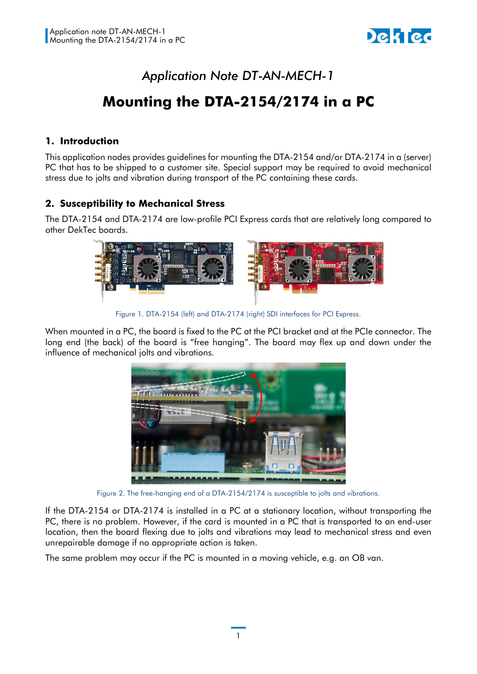

## *Application Note DT-AN-MECH-1*

# **Mounting the DTA-2154/2174 in a PC**

## **1. Introduction**

This application nodes provides guidelines for mounting the DTA-2154 and/or DTA-2174 in a (server) PC that has to be shipped to a customer site. Special support may be required to avoid mechanical stress due to jolts and vibration during transport of the PC containing these cards.

## **2. Susceptibility to Mechanical Stress**

The DTA-2154 and DTA-2174 are low-profile PCI Express cards that are relatively long compared to other DekTec boards.



Figure 1. DTA-2154 (left) and DTA-2174 (right) SDI interfaces for PCI Express.

When mounted in a PC, the board is fixed to the PC at the PCI bracket and at the PCIe connector. The long end (the back) of the board is "free hanging". The board may flex up and down under the influence of mechanical jolts and vibrations.



Figure 2. The free-hanging end of a DTA-2154/2174 is susceptible to jolts and vibrations.

If the DTA-2154 or DTA-2174 is installed in a PC at a stationary location, without transporting the PC, there is no problem. However, if the card is mounted in a PC that is transported to an end-user location, then the board flexing due to jolts and vibrations may lead to mechanical stress and even unrepairable damage if no appropriate action is taken.

The same problem may occur if the PC is mounted in a moving vehicle, e.g. an OB van.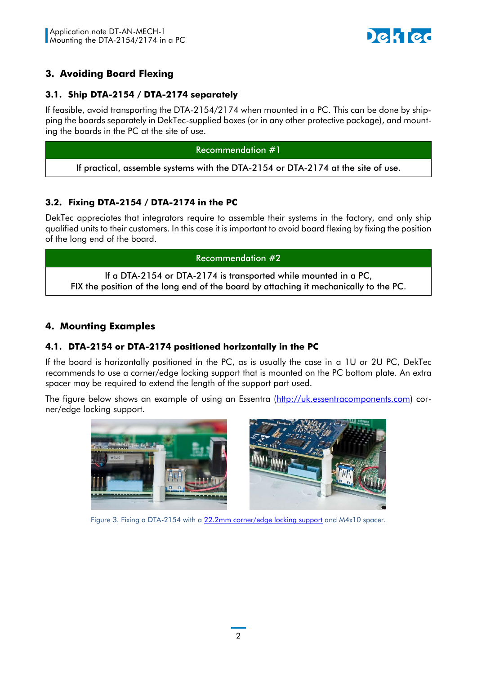

## **3. Avoiding Board Flexing**

## **3.1. Ship DTA-2154 / DTA-2174 separately**

If feasible, avoid transporting the DTA-2154/2174 when mounted in a PC. This can be done by shipping the boards separately in DekTec-supplied boxes (or in any other protective package), and mounting the boards in the PC at the site of use.

#### Recommendation #1

If practical, assemble systems with the DTA-2154 or DTA-2174 at the site of use.

## **3.2. Fixing DTA-2154 / DTA-2174 in the PC**

DekTec appreciates that integrators require to assemble their systems in the factory, and only ship qualified units to their customers. In this case it is important to avoid board flexing by fixing the position of the long end of the board.

Recommendation #2

If a DTA-2154 or DTA-2174 is transported while mounted in a PC, FIX the position of the long end of the board by attaching it mechanically to the PC.

## **4. Mounting Examples**

### **4.1. DTA-2154 or DTA-2174 positioned horizontally in the PC**

If the board is horizontally positioned in the PC, as is usually the case in a 1U or 2U PC, DekTec recommends to use a corner/edge locking support that is mounted on the PC bottom plate. An extra spacer may be required to extend the length of the support part used.

The figure below shows an example of using an Essentra [\(http://uk.essentracomponents.com\)](http://uk.essentracomponents.com/) corner/edge locking support.



Figure 3. Fixing a DTA-2154 with a [22.2mm corner/edge locking support](http://uk.essentracomponents.com/shop/en-GB/essentracomponentsuk/corner-edge-locking-support---studded-p160187-44) and M4x10 spacer.